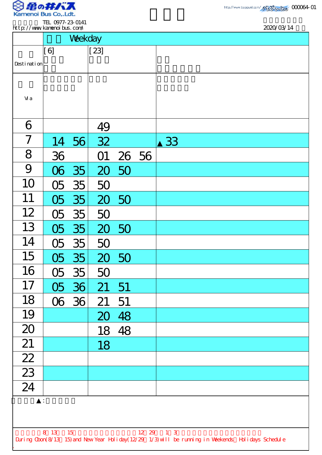

TEL 0977-23-0141 http://www.kamenoibus.com/

|                 | http://www.kanenoi.bus.com/ |         |              |       | 2020/03/14                                                                                         |
|-----------------|-----------------------------|---------|--------------|-------|----------------------------------------------------------------------------------------------------|
|                 |                             | Weekday |              |       |                                                                                                    |
|                 | [6]                         |         | $\vert$ [23] |       |                                                                                                    |
| Desti nati on   |                             |         |              |       |                                                                                                    |
|                 |                             |         |              |       |                                                                                                    |
|                 |                             |         |              |       |                                                                                                    |
| Vi a            |                             |         |              |       |                                                                                                    |
| 6               |                             |         |              |       |                                                                                                    |
|                 |                             |         | 49           |       |                                                                                                    |
| 7               |                             | 14 56   | 32           |       | 33                                                                                                 |
| 8               | 36                          |         | O1           | 26 56 |                                                                                                    |
| 9               | $\infty$                    | 35      |              | 20 50 |                                                                                                    |
| 10              | 05                          | 35      | 50           |       |                                                                                                    |
| 11              | 05                          | 35      | 20           | 50    |                                                                                                    |
| 12              | $\overline{OB}$             | 35      | 50           |       |                                                                                                    |
| 13              | OS                          | 35      |              | 20 50 |                                                                                                    |
| 14              | 05                          | 35      | 50           |       |                                                                                                    |
| 15              | O5                          | 35      | 20 50        |       |                                                                                                    |
| 16              | O <sub>5</sub>              | 35      | 50           |       |                                                                                                    |
| 17              |                             | 05 36   | 21           | 51    |                                                                                                    |
| 18              |                             | 06 36   | 21           | 51    |                                                                                                    |
| 19              |                             |         | 20           | 48    |                                                                                                    |
| 20              |                             |         | 18           | 48    |                                                                                                    |
| 21              |                             |         | 18           |       |                                                                                                    |
| 22              |                             |         |              |       |                                                                                                    |
| $\overline{23}$ |                             |         |              |       |                                                                                                    |
| 24              |                             |         |              |       |                                                                                                    |
|                 |                             |         |              |       |                                                                                                    |
|                 |                             |         |              |       |                                                                                                    |
|                 | 8 13 15                     |         |              |       | $12 \t29 \t1 \t3$                                                                                  |
|                 |                             |         |              |       | During Cbon(8/13 15) and New Year Holiday(12/29 1/3) will be running in Weekends Holidays Schedule |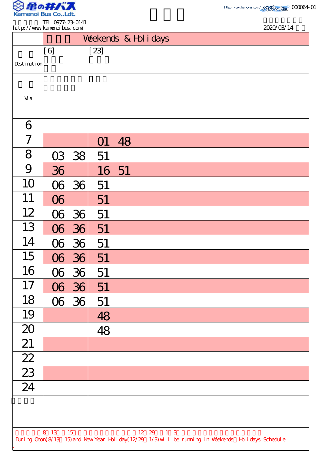

.

TEL 0977-23-0141 http://www.kamenoibus.com/

| http://www.kanenoi.bus.com/                                                                        |          |           |        |    |  |                   |  |  |  | 2020/03/14 |
|----------------------------------------------------------------------------------------------------|----------|-----------|--------|----|--|-------------------|--|--|--|------------|
| Weekends & Hol i days                                                                              |          |           |        |    |  |                   |  |  |  |            |
|                                                                                                    | [6]      |           | $[23]$ |    |  |                   |  |  |  |            |
| Desti nati on                                                                                      |          |           |        |    |  |                   |  |  |  |            |
| Vi a                                                                                               |          |           |        |    |  |                   |  |  |  |            |
|                                                                                                    |          |           |        |    |  |                   |  |  |  |            |
| 6                                                                                                  |          |           |        |    |  |                   |  |  |  |            |
| 7                                                                                                  |          |           | O1     | 48 |  |                   |  |  |  |            |
| 8                                                                                                  |          | $03 \t38$ | 51     |    |  |                   |  |  |  |            |
| 9                                                                                                  | 36       |           | 16 51  |    |  |                   |  |  |  |            |
| 10                                                                                                 |          | 06 36     | 51     |    |  |                   |  |  |  |            |
| 11                                                                                                 | $\infty$ |           | 51     |    |  |                   |  |  |  |            |
| 12                                                                                                 |          | 06 36     | 51     |    |  |                   |  |  |  |            |
| 13                                                                                                 |          | 06 36     | 51     |    |  |                   |  |  |  |            |
| 14                                                                                                 |          | $06 \t36$ | 51     |    |  |                   |  |  |  |            |
| 15                                                                                                 |          | 06 36     | 51     |    |  |                   |  |  |  |            |
| 16                                                                                                 |          | 06 36     | 51     |    |  |                   |  |  |  |            |
| 17                                                                                                 |          | 06 36     | 51     |    |  |                   |  |  |  |            |
| 18                                                                                                 |          | 06 36     | 51     |    |  |                   |  |  |  |            |
| 19                                                                                                 |          |           | 48     |    |  |                   |  |  |  |            |
| 20                                                                                                 |          |           | 48     |    |  |                   |  |  |  |            |
| 21                                                                                                 |          |           |        |    |  |                   |  |  |  |            |
| $\frac{22}{2}$                                                                                     |          |           |        |    |  |                   |  |  |  |            |
| $\frac{23}{ }$                                                                                     |          |           |        |    |  |                   |  |  |  |            |
| $\overline{24}$                                                                                    |          |           |        |    |  |                   |  |  |  |            |
|                                                                                                    |          |           |        |    |  |                   |  |  |  |            |
|                                                                                                    |          |           |        |    |  |                   |  |  |  |            |
| During Cbon(8/13 15) and New Year Holiday(12/29 1/3) will be running in Weekends Holidays Schedule | 8 13 15  |           |        |    |  | $12 \t29 \t1 \t3$ |  |  |  |            |